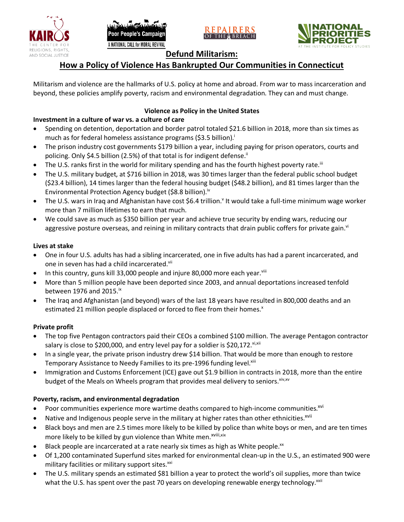







# **Defund Militarism:**

# **How a Policy of Violence Has Bankrupted Our Communities in Connecticut**

Militarism and violence are the hallmarks of U.S. policy at home and abroad. From war to mass incarceration and beyond, these policies amplify poverty, racism and environmental degradation. They can and must change.

## **Violence as Policy in the United States**

## **Investment in a culture of war vs. a culture of care**

- Spending on detention, deportation and border patrol totaled \$21.6 billion in 2018, more than six times as much as for federal homeless assistance programs (\$3.5 billion).<sup>i</sup>
- The prison industry cost governments \$179 billion a year, including paying for prison operators, courts and policing. Only \$4.5 billion (2.5%) of that total is for indigent defense.<sup>ii</sup>
- The U.S. ranks first in the world for military spending and has the fourth highest poverty rate.<sup>iii</sup>
- The U.S. military budget, at \$716 billion in 2018, was 30 times larger than the federal public school budget (\$23.4 billion), 14 times larger than the federal housing budget (\$48.2 billion), and 81 times larger than the Environmental Protection Agency budget (\$8.8 billion).<sup>iv</sup>
- The U.S. wars in Iraq and Afghanistan have cost \$6.4 trillion.<sup>v</sup> It would take a full-time minimum wage worker more than 7 million lifetimes to earn that much.
- We could save as much as \$350 billion per year and achieve true security by ending wars, reducing our aggressive posture overseas, and reining in military contracts that drain public coffers for private gain.<sup>vi</sup>

### **Lives at stake**

- One in four U.S. adults has had a sibling incarcerated, one in five adults has had a parent incarcerated, and one in seven has had a child incarcerated.vii
- In this country, guns kill 33,000 people and injure 80,000 more each year. $v_{\text{lin}}$
- More than 5 million people have been deported since 2003, and annual deportations increased tenfold between 1976 and 2015. $\mathrm{i}$ <sup>x</sup>
- The Iraq and Afghanistan (and beyond) wars of the last 18 years have resulted in 800,000 deaths and an estimated 21 million people displaced or forced to flee from their homes.<sup>x</sup>

### **Private profit**

- The top five Pentagon contractors paid their CEOs a combined \$100 million. The average Pentagon contractor salary is close to \$200,000, and entry level pay for a soldier is \$20,172. xi,xii
- In a single year, the private prison industry drew \$14 billion. That would be more than enough to restore Temporary Assistance to Needy Families to its pre-1996 funding level.<sup>xiii</sup>
- Immigration and Customs Enforcement (ICE) gave out \$1.9 billion in contracts in 2018, more than the entire budget of the Meals on Wheels program that provides meal delivery to seniors. Xiv, XV

### **Poverty, racism, and environmental degradation**

- Poor communities experience more wartime deaths compared to high-income communities.<sup>xvi</sup>
- Native and Indigenous people serve in the military at higher rates than other ethnicities.<sup>xvii</sup>
- Black boys and men are 2.5 times more likely to be killed by police than white boys or men, and are ten times more likely to be killed by gun violence than White men.<sup>xviii,xix</sup>
- Black people are incarcerated at a rate nearly six times as high as White people.<sup>xx</sup>
- Of 1,200 contaminated Superfund sites marked for environmental clean-up in the U.S., an estimated 900 were military facilities or military support sites.<sup>xxi</sup>
- The U.S. military spends an estimated \$81 billion a year to protect the world's oil supplies, more than twice what the U.S. has spent over the past 70 years on developing renewable energy technology.<sup>xxii</sup>